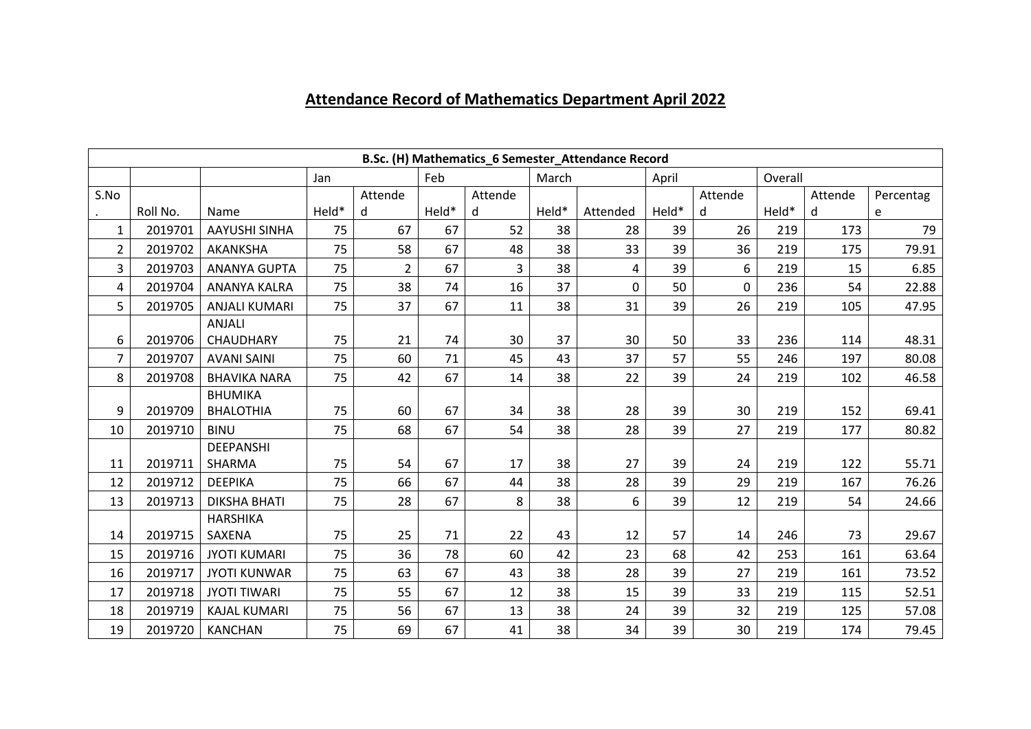## **Attendance Record of Mathematics Department April 2022**

|                | B.Sc. (H) Mathematics_6 Semester_Attendance Record |                      |                                                                                     |                |       |    |       |          |       |    |       |     |           |
|----------------|----------------------------------------------------|----------------------|-------------------------------------------------------------------------------------|----------------|-------|----|-------|----------|-------|----|-------|-----|-----------|
|                |                                                    |                      | Feb<br>Overall<br>March<br>April<br>Jan<br>Attende<br>Attende<br>Attende<br>Attende |                |       |    |       |          |       |    |       |     |           |
| S.No           |                                                    |                      |                                                                                     |                |       |    |       |          |       |    |       |     | Percentag |
|                | Roll No.                                           | Name                 | Held*                                                                               | d              | Held* | d  | Held* | Attended | Held* | d  | Held* | d   | e         |
| $\mathbf{1}$   | 2019701                                            | <b>AAYUSHI SINHA</b> | 75                                                                                  | 67             | 67    | 52 | 38    | 28       | 39    | 26 | 219   | 173 | 79        |
| $\overline{2}$ | 2019702                                            | AKANKSHA             | 75                                                                                  | 58             | 67    | 48 | 38    | 33       | 39    | 36 | 219   | 175 | 79.91     |
| 3              | 2019703                                            | <b>ANANYA GUPTA</b>  | 75                                                                                  | $\overline{2}$ | 67    | 3  | 38    | 4        | 39    | 6  | 219   | 15  | 6.85      |
| 4              | 2019704                                            | ANANYA KALRA         | 75                                                                                  | 38             | 74    | 16 | 37    | $\Omega$ | 50    | 0  | 236   | 54  | 22.88     |
| 5              | 2019705                                            | <b>ANJALI KUMARI</b> | 75                                                                                  | 37             | 67    | 11 | 38    | 31       | 39    | 26 | 219   | 105 | 47.95     |
|                |                                                    | ANJALI               |                                                                                     |                |       |    |       |          |       |    |       |     |           |
| 6              | 2019706                                            | CHAUDHARY            | 75                                                                                  | 21             | 74    | 30 | 37    | 30       | 50    | 33 | 236   | 114 | 48.31     |
| $\overline{7}$ | 2019707                                            | <b>AVANI SAINI</b>   | 75                                                                                  | 60             | 71    | 45 | 43    | 37       | 57    | 55 | 246   | 197 | 80.08     |
| 8              | 2019708                                            | <b>BHAVIKA NARA</b>  | 75                                                                                  | 42             | 67    | 14 | 38    | 22       | 39    | 24 | 219   | 102 | 46.58     |
|                |                                                    | <b>BHUMIKA</b>       |                                                                                     |                |       |    |       |          |       |    |       |     |           |
| 9              | 2019709                                            | <b>BHALOTHIA</b>     | 75                                                                                  | 60             | 67    | 34 | 38    | 28       | 39    | 30 | 219   | 152 | 69.41     |
| 10             | 2019710                                            | <b>BINU</b>          | 75                                                                                  | 68             | 67    | 54 | 38    | 28       | 39    | 27 | 219   | 177 | 80.82     |
|                |                                                    | <b>DEEPANSHI</b>     |                                                                                     |                |       |    |       |          |       |    |       |     |           |
| 11             | 2019711                                            | SHARMA               | 75                                                                                  | 54             | 67    | 17 | 38    | 27       | 39    | 24 | 219   | 122 | 55.71     |
| 12             | 2019712                                            | <b>DEEPIKA</b>       | 75                                                                                  | 66             | 67    | 44 | 38    | 28       | 39    | 29 | 219   | 167 | 76.26     |
| 13             | 2019713                                            | <b>DIKSHA BHATI</b>  | 75                                                                                  | 28             | 67    | 8  | 38    | 6        | 39    | 12 | 219   | 54  | 24.66     |
|                |                                                    | <b>HARSHIKA</b>      |                                                                                     |                |       |    |       |          |       |    |       |     |           |
| 14             | 2019715                                            | SAXENA               | 75                                                                                  | 25             | 71    | 22 | 43    | 12       | 57    | 14 | 246   | 73  | 29.67     |
| 15             | 2019716                                            | <b>JYOTI KUMARI</b>  | 75                                                                                  | 36             | 78    | 60 | 42    | 23       | 68    | 42 | 253   | 161 | 63.64     |
| 16             | 2019717                                            | <b>JYOTI KUNWAR</b>  | 75                                                                                  | 63             | 67    | 43 | 38    | 28       | 39    | 27 | 219   | 161 | 73.52     |
| 17             | 2019718                                            | <b>JYOTI TIWARI</b>  | 75                                                                                  | 55             | 67    | 12 | 38    | 15       | 39    | 33 | 219   | 115 | 52.51     |
| 18             | 2019719                                            | <b>KAJAL KUMARI</b>  | 75                                                                                  | 56             | 67    | 13 | 38    | 24       | 39    | 32 | 219   | 125 | 57.08     |
| 19             | 2019720                                            | <b>KANCHAN</b>       | 75                                                                                  | 69             | 67    | 41 | 38    | 34       | 39    | 30 | 219   | 174 | 79.45     |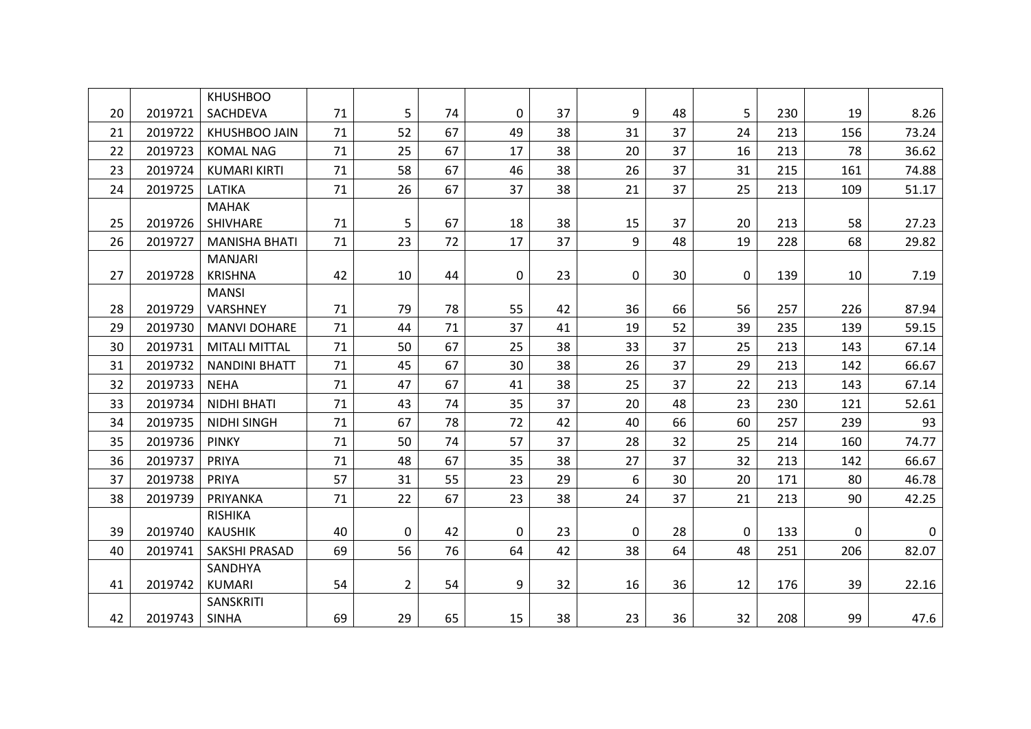|    |         | <b>KHUSHBOO</b>      |    |                |    |              |    |                |    |              |     |     |       |
|----|---------|----------------------|----|----------------|----|--------------|----|----------------|----|--------------|-----|-----|-------|
| 20 | 2019721 | SACHDEVA             | 71 | 5              | 74 | 0            | 37 | 9              | 48 | 5            | 230 | 19  | 8.26  |
| 21 | 2019722 | <b>KHUSHBOO JAIN</b> | 71 | 52             | 67 | 49           | 38 | 31             | 37 | 24           | 213 | 156 | 73.24 |
| 22 | 2019723 | <b>KOMAL NAG</b>     | 71 | 25             | 67 | 17           | 38 | 20             | 37 | 16           | 213 | 78  | 36.62 |
| 23 | 2019724 | <b>KUMARI KIRTI</b>  | 71 | 58             | 67 | 46           | 38 | 26             | 37 | 31           | 215 | 161 | 74.88 |
| 24 | 2019725 | LATIKA               | 71 | 26             | 67 | 37           | 38 | 21             | 37 | 25           | 213 | 109 | 51.17 |
|    |         | <b>MAHAK</b>         |    |                |    |              |    |                |    |              |     |     |       |
| 25 | 2019726 | SHIVHARE             | 71 | 5              | 67 | 18           | 38 | 15             | 37 | 20           | 213 | 58  | 27.23 |
| 26 | 2019727 | <b>MANISHA BHATI</b> | 71 | 23             | 72 | 17           | 37 | $\overline{9}$ | 48 | 19           | 228 | 68  | 29.82 |
|    |         | <b>MANJARI</b>       |    |                |    |              |    |                |    |              |     |     |       |
| 27 | 2019728 | <b>KRISHNA</b>       | 42 | 10             | 44 | 0            | 23 | $\mathbf 0$    | 30 | 0            | 139 | 10  | 7.19  |
|    |         | <b>MANSI</b>         |    |                |    |              |    |                |    |              |     |     |       |
| 28 | 2019729 | <b>VARSHNEY</b>      | 71 | 79             | 78 | 55           | 42 | 36             | 66 | 56           | 257 | 226 | 87.94 |
| 29 | 2019730 | <b>MANVI DOHARE</b>  | 71 | 44             | 71 | 37           | 41 | 19             | 52 | 39           | 235 | 139 | 59.15 |
| 30 | 2019731 | <b>MITALI MITTAL</b> | 71 | 50             | 67 | 25           | 38 | 33             | 37 | 25           | 213 | 143 | 67.14 |
| 31 | 2019732 | <b>NANDINI BHATT</b> | 71 | 45             | 67 | 30           | 38 | 26             | 37 | 29           | 213 | 142 | 66.67 |
| 32 | 2019733 | <b>NEHA</b>          | 71 | 47             | 67 | 41           | 38 | 25             | 37 | 22           | 213 | 143 | 67.14 |
| 33 | 2019734 | NIDHI BHATI          | 71 | 43             | 74 | 35           | 37 | 20             | 48 | 23           | 230 | 121 | 52.61 |
| 34 | 2019735 | <b>NIDHI SINGH</b>   | 71 | 67             | 78 | 72           | 42 | 40             | 66 | 60           | 257 | 239 | 93    |
| 35 | 2019736 | <b>PINKY</b>         | 71 | 50             | 74 | 57           | 37 | 28             | 32 | 25           | 214 | 160 | 74.77 |
| 36 | 2019737 | PRIYA                | 71 | 48             | 67 | 35           | 38 | 27             | 37 | 32           | 213 | 142 | 66.67 |
| 37 | 2019738 | <b>PRIYA</b>         | 57 | 31             | 55 | 23           | 29 | 6              | 30 | 20           | 171 | 80  | 46.78 |
| 38 | 2019739 | PRIYANKA             | 71 | 22             | 67 | 23           | 38 | 24             | 37 | 21           | 213 | 90  | 42.25 |
|    |         | <b>RISHIKA</b>       |    |                |    |              |    |                |    |              |     |     |       |
| 39 | 2019740 | <b>KAUSHIK</b>       | 40 | 0              | 42 | $\mathbf{0}$ | 23 | $\Omega$       | 28 | $\mathbf{0}$ | 133 | 0   | 0     |
| 40 | 2019741 | <b>SAKSHI PRASAD</b> | 69 | 56             | 76 | 64           | 42 | 38             | 64 | 48           | 251 | 206 | 82.07 |
|    |         | SANDHYA              |    |                |    |              |    |                |    |              |     |     |       |
| 41 | 2019742 | <b>KUMARI</b>        | 54 | $\overline{2}$ | 54 | 9            | 32 | 16             | 36 | 12           | 176 | 39  | 22.16 |
|    |         | SANSKRITI            |    |                |    |              |    |                |    |              |     |     |       |
| 42 | 2019743 | <b>SINHA</b>         | 69 | 29             | 65 | 15           | 38 | 23             | 36 | 32           | 208 | 99  | 47.6  |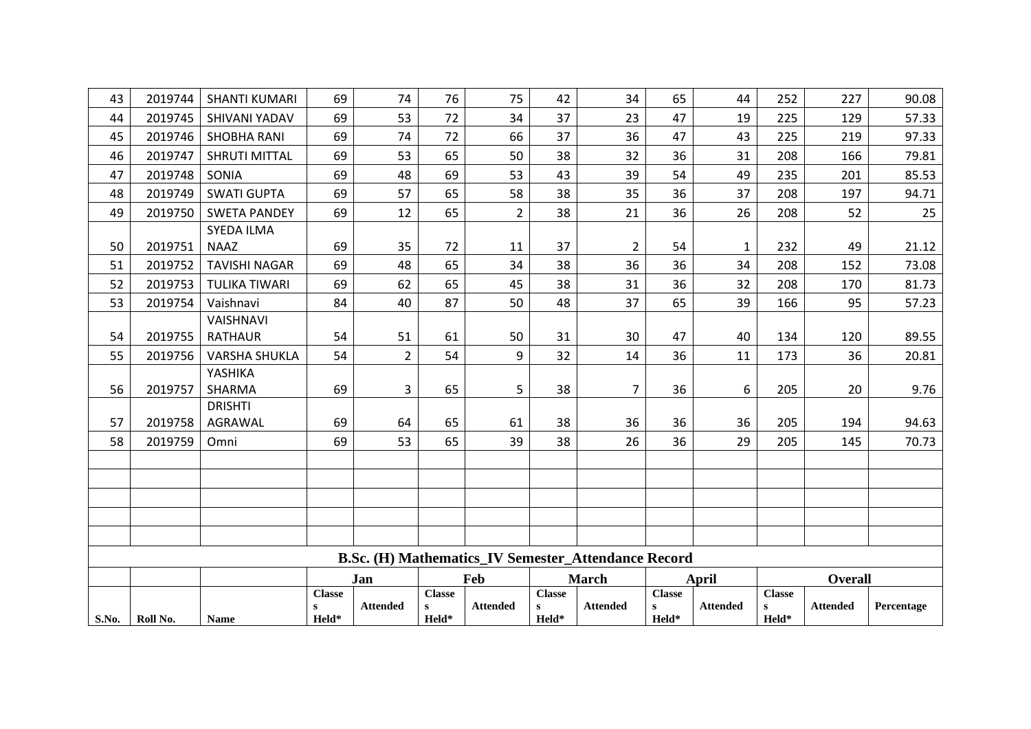| 43    | 2019744  | <b>SHANTI KUMARI</b> | 69            | 74              | 76                | 75              | 42            | 34                                                         | 65                    | 44              | 252                | 227             | 90.08      |
|-------|----------|----------------------|---------------|-----------------|-------------------|-----------------|---------------|------------------------------------------------------------|-----------------------|-----------------|--------------------|-----------------|------------|
| 44    | 2019745  | SHIVANI YADAV        | 69            | 53              | 72                | 34              | 37            | 23                                                         | 47                    | 19              | 225                | 129             | 57.33      |
| 45    | 2019746  | <b>SHOBHA RANI</b>   | 69            | 74              | 72                | 66              | 37            | 36                                                         | 47                    | 43              | 225                | 219             | 97.33      |
| 46    | 2019747  | <b>SHRUTI MITTAL</b> | 69            | 53              | 65                | 50              | 38            | 32                                                         | 36                    | 31              | 208                | 166             | 79.81      |
| 47    | 2019748  | SONIA                | 69            | 48              | 69                | 53              | 43            | 39                                                         | 54                    | 49              | 235                | 201             | 85.53      |
| 48    | 2019749  | <b>SWATI GUPTA</b>   | 69            | 57              | 65                | 58              | 38            | 35                                                         | 36                    | 37              | 208                | 197             | 94.71      |
| 49    | 2019750  | <b>SWETA PANDEY</b>  | 69            | 12              | 65                | $\overline{2}$  | 38            | 21                                                         | 36                    | 26              | 208                | 52              | 25         |
|       |          | <b>SYEDA ILMA</b>    |               |                 |                   |                 |               |                                                            |                       |                 |                    |                 |            |
| 50    | 2019751  | <b>NAAZ</b>          | 69            | 35              | 72                | 11              | 37            | $\overline{2}$                                             | 54                    | 1               | 232                | 49              | 21.12      |
| 51    | 2019752  | <b>TAVISHI NAGAR</b> | 69            | 48              | 65                | 34              | 38            | 36                                                         | 36                    | 34              | 208                | 152             | 73.08      |
| 52    | 2019753  | <b>TULIKA TIWARI</b> | 69            | 62              | 65                | 45              | 38            | 31                                                         | 36                    | 32              | 208                | 170             | 81.73      |
| 53    | 2019754  | Vaishnavi            | 84            | 40              | 87                | 50              | 48            | 37                                                         | 65                    | 39              | 166                | 95              | 57.23      |
|       |          | <b>VAISHNAVI</b>     |               |                 |                   |                 |               |                                                            |                       |                 |                    |                 |            |
| 54    | 2019755  | <b>RATHAUR</b>       | 54            | 51              | 61                | 50              | 31            | 30                                                         | 47                    | 40              | 134                | 120             | 89.55      |
| 55    | 2019756  | <b>VARSHA SHUKLA</b> | 54            | $\overline{2}$  | 54                | 9               | 32            | 14                                                         | 36                    | 11              | 173                | 36              | 20.81      |
|       |          | YASHIKA              |               |                 |                   |                 |               |                                                            |                       |                 |                    |                 |            |
| 56    | 2019757  | SHARMA               | 69            | 3               | 65                | 5               | 38            | $\overline{7}$                                             | 36                    | 6               | 205                | 20              | 9.76       |
|       |          | <b>DRISHTI</b>       |               |                 |                   |                 |               |                                                            |                       |                 |                    |                 |            |
| 57    | 2019758  | AGRAWAL              | 69            | 64              | 65                | 61              | 38            | 36                                                         | 36                    | 36              | 205                | 194             | 94.63      |
| 58    | 2019759  | Omni                 | 69            | 53              | 65                | 39              | 38            | 26                                                         | 36                    | 29              | 205                | 145             | 70.73      |
|       |          |                      |               |                 |                   |                 |               |                                                            |                       |                 |                    |                 |            |
|       |          |                      |               |                 |                   |                 |               |                                                            |                       |                 |                    |                 |            |
|       |          |                      |               |                 |                   |                 |               |                                                            |                       |                 |                    |                 |            |
|       |          |                      |               |                 |                   |                 |               |                                                            |                       |                 |                    |                 |            |
|       |          |                      |               |                 |                   |                 |               |                                                            |                       |                 |                    |                 |            |
|       |          |                      |               |                 |                   |                 |               | <b>B.Sc. (H) Mathematics_IV Semester_Attendance Record</b> |                       |                 |                    |                 |            |
|       |          |                      |               | Jan             |                   | Feb             |               | <b>March</b>                                               |                       | <b>April</b>    |                    | <b>Overall</b>  |            |
|       |          |                      | <b>Classe</b> |                 | <b>Classe</b>     |                 | <b>Classe</b> |                                                            | <b>Classe</b>         |                 | <b>Classe</b>      |                 |            |
| S.No. | Roll No. | <b>Name</b>          | S<br>Held*    | <b>Attended</b> | $\bf{s}$<br>Held* | <b>Attended</b> | S<br>Held*    | <b>Attended</b>                                            | $\mathbf{s}$<br>Held* | <b>Attended</b> | ${\bf s}$<br>Held* | <b>Attended</b> | Percentage |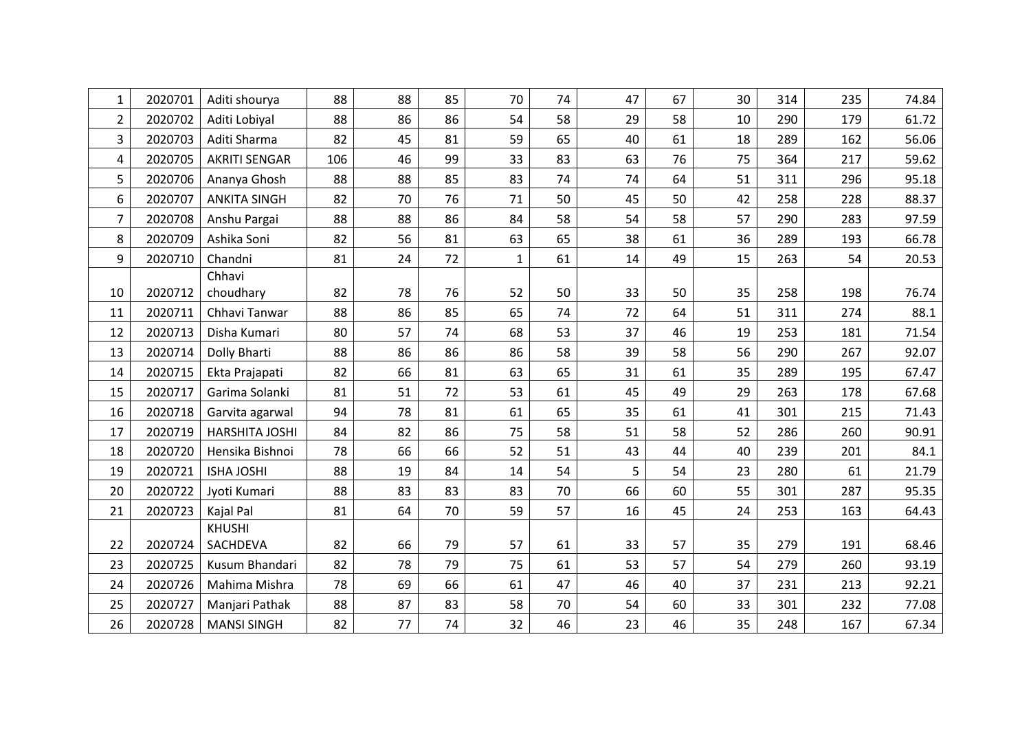| 1              | 2020701 | Aditi shourya        | 88  | 88 | 85 | 70           | 74 | 47 | 67 | 30 | 314 | 235 | 74.84 |
|----------------|---------|----------------------|-----|----|----|--------------|----|----|----|----|-----|-----|-------|
| $\overline{2}$ | 2020702 | Aditi Lobiyal        | 88  | 86 | 86 | 54           | 58 | 29 | 58 | 10 | 290 | 179 | 61.72 |
| 3              | 2020703 | Aditi Sharma         | 82  | 45 | 81 | 59           | 65 | 40 | 61 | 18 | 289 | 162 | 56.06 |
| 4              | 2020705 | <b>AKRITI SENGAR</b> | 106 | 46 | 99 | 33           | 83 | 63 | 76 | 75 | 364 | 217 | 59.62 |
| 5              | 2020706 | Ananya Ghosh         | 88  | 88 | 85 | 83           | 74 | 74 | 64 | 51 | 311 | 296 | 95.18 |
| 6              | 2020707 | <b>ANKITA SINGH</b>  | 82  | 70 | 76 | 71           | 50 | 45 | 50 | 42 | 258 | 228 | 88.37 |
| $\overline{7}$ | 2020708 | Anshu Pargai         | 88  | 88 | 86 | 84           | 58 | 54 | 58 | 57 | 290 | 283 | 97.59 |
| 8              | 2020709 | Ashika Soni          | 82  | 56 | 81 | 63           | 65 | 38 | 61 | 36 | 289 | 193 | 66.78 |
| 9              | 2020710 | Chandni              | 81  | 24 | 72 | $\mathbf{1}$ | 61 | 14 | 49 | 15 | 263 | 54  | 20.53 |
|                |         | Chhavi               |     |    |    |              |    |    |    |    |     |     |       |
| 10             | 2020712 | choudhary            | 82  | 78 | 76 | 52           | 50 | 33 | 50 | 35 | 258 | 198 | 76.74 |
| 11             | 2020711 | Chhavi Tanwar        | 88  | 86 | 85 | 65           | 74 | 72 | 64 | 51 | 311 | 274 | 88.1  |
| 12             | 2020713 | Disha Kumari         | 80  | 57 | 74 | 68           | 53 | 37 | 46 | 19 | 253 | 181 | 71.54 |
| 13             | 2020714 | Dolly Bharti         | 88  | 86 | 86 | 86           | 58 | 39 | 58 | 56 | 290 | 267 | 92.07 |
| 14             | 2020715 | Ekta Prajapati       | 82  | 66 | 81 | 63           | 65 | 31 | 61 | 35 | 289 | 195 | 67.47 |
| 15             | 2020717 | Garima Solanki       | 81  | 51 | 72 | 53           | 61 | 45 | 49 | 29 | 263 | 178 | 67.68 |
| 16             | 2020718 | Garvita agarwal      | 94  | 78 | 81 | 61           | 65 | 35 | 61 | 41 | 301 | 215 | 71.43 |
| 17             | 2020719 | HARSHITA JOSHI       | 84  | 82 | 86 | 75           | 58 | 51 | 58 | 52 | 286 | 260 | 90.91 |
| 18             | 2020720 | Hensika Bishnoi      | 78  | 66 | 66 | 52           | 51 | 43 | 44 | 40 | 239 | 201 | 84.1  |
| 19             | 2020721 | <b>ISHA JOSHI</b>    | 88  | 19 | 84 | 14           | 54 | 5  | 54 | 23 | 280 | 61  | 21.79 |
| 20             | 2020722 | Jyoti Kumari         | 88  | 83 | 83 | 83           | 70 | 66 | 60 | 55 | 301 | 287 | 95.35 |
| 21             | 2020723 | Kajal Pal            | 81  | 64 | 70 | 59           | 57 | 16 | 45 | 24 | 253 | 163 | 64.43 |
|                |         | <b>KHUSHI</b>        |     |    |    |              |    |    |    |    |     |     |       |
| 22             | 2020724 | SACHDEVA             | 82  | 66 | 79 | 57           | 61 | 33 | 57 | 35 | 279 | 191 | 68.46 |
| 23             | 2020725 | Kusum Bhandari       | 82  | 78 | 79 | 75           | 61 | 53 | 57 | 54 | 279 | 260 | 93.19 |
| 24             | 2020726 | Mahima Mishra        | 78  | 69 | 66 | 61           | 47 | 46 | 40 | 37 | 231 | 213 | 92.21 |
| 25             | 2020727 | Manjari Pathak       | 88  | 87 | 83 | 58           | 70 | 54 | 60 | 33 | 301 | 232 | 77.08 |
| 26             | 2020728 | <b>MANSI SINGH</b>   | 82  | 77 | 74 | 32           | 46 | 23 | 46 | 35 | 248 | 167 | 67.34 |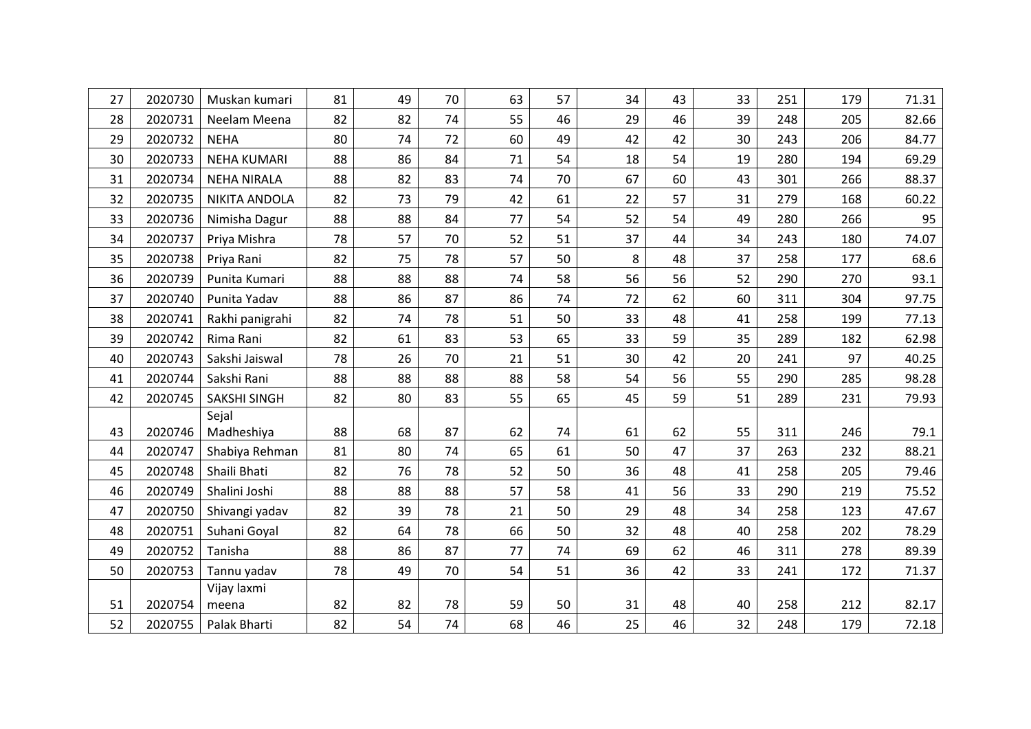| 27 | 2020730 | Muskan kumari       | 81 | 49 | 70 | 63 | 57 | 34 | 43 | 33 | 251 | 179 | 71.31 |
|----|---------|---------------------|----|----|----|----|----|----|----|----|-----|-----|-------|
| 28 | 2020731 | Neelam Meena        | 82 | 82 | 74 | 55 | 46 | 29 | 46 | 39 | 248 | 205 | 82.66 |
| 29 | 2020732 | <b>NEHA</b>         | 80 | 74 | 72 | 60 | 49 | 42 | 42 | 30 | 243 | 206 | 84.77 |
| 30 | 2020733 | <b>NEHA KUMARI</b>  | 88 | 86 | 84 | 71 | 54 | 18 | 54 | 19 | 280 | 194 | 69.29 |
| 31 | 2020734 | <b>NEHA NIRALA</b>  | 88 | 82 | 83 | 74 | 70 | 67 | 60 | 43 | 301 | 266 | 88.37 |
| 32 | 2020735 | NIKITA ANDOLA       | 82 | 73 | 79 | 42 | 61 | 22 | 57 | 31 | 279 | 168 | 60.22 |
| 33 | 2020736 | Nimisha Dagur       | 88 | 88 | 84 | 77 | 54 | 52 | 54 | 49 | 280 | 266 | 95    |
| 34 | 2020737 | Priya Mishra        | 78 | 57 | 70 | 52 | 51 | 37 | 44 | 34 | 243 | 180 | 74.07 |
| 35 | 2020738 | Priya Rani          | 82 | 75 | 78 | 57 | 50 | 8  | 48 | 37 | 258 | 177 | 68.6  |
| 36 | 2020739 | Punita Kumari       | 88 | 88 | 88 | 74 | 58 | 56 | 56 | 52 | 290 | 270 | 93.1  |
| 37 | 2020740 | Punita Yadav        | 88 | 86 | 87 | 86 | 74 | 72 | 62 | 60 | 311 | 304 | 97.75 |
| 38 | 2020741 | Rakhi panigrahi     | 82 | 74 | 78 | 51 | 50 | 33 | 48 | 41 | 258 | 199 | 77.13 |
| 39 | 2020742 | Rima Rani           | 82 | 61 | 83 | 53 | 65 | 33 | 59 | 35 | 289 | 182 | 62.98 |
| 40 | 2020743 | Sakshi Jaiswal      | 78 | 26 | 70 | 21 | 51 | 30 | 42 | 20 | 241 | 97  | 40.25 |
| 41 | 2020744 | Sakshi Rani         | 88 | 88 | 88 | 88 | 58 | 54 | 56 | 55 | 290 | 285 | 98.28 |
| 42 | 2020745 | <b>SAKSHI SINGH</b> | 82 | 80 | 83 | 55 | 65 | 45 | 59 | 51 | 289 | 231 | 79.93 |
|    |         | Sejal               |    |    |    |    |    |    |    |    |     |     |       |
| 43 | 2020746 | Madheshiya          | 88 | 68 | 87 | 62 | 74 | 61 | 62 | 55 | 311 | 246 | 79.1  |
| 44 | 2020747 | Shabiya Rehman      | 81 | 80 | 74 | 65 | 61 | 50 | 47 | 37 | 263 | 232 | 88.21 |
| 45 | 2020748 | Shaili Bhati        | 82 | 76 | 78 | 52 | 50 | 36 | 48 | 41 | 258 | 205 | 79.46 |
| 46 | 2020749 | Shalini Joshi       | 88 | 88 | 88 | 57 | 58 | 41 | 56 | 33 | 290 | 219 | 75.52 |
| 47 | 2020750 | Shivangi yadav      | 82 | 39 | 78 | 21 | 50 | 29 | 48 | 34 | 258 | 123 | 47.67 |
| 48 | 2020751 | Suhani Goyal        | 82 | 64 | 78 | 66 | 50 | 32 | 48 | 40 | 258 | 202 | 78.29 |
| 49 | 2020752 | Tanisha             | 88 | 86 | 87 | 77 | 74 | 69 | 62 | 46 | 311 | 278 | 89.39 |
| 50 | 2020753 | Tannu yadav         | 78 | 49 | 70 | 54 | 51 | 36 | 42 | 33 | 241 | 172 | 71.37 |
|    |         | Vijay laxmi         |    |    |    |    |    |    |    |    |     |     |       |
| 51 | 2020754 | meena               | 82 | 82 | 78 | 59 | 50 | 31 | 48 | 40 | 258 | 212 | 82.17 |
| 52 | 2020755 | Palak Bharti        | 82 | 54 | 74 | 68 | 46 | 25 | 46 | 32 | 248 | 179 | 72.18 |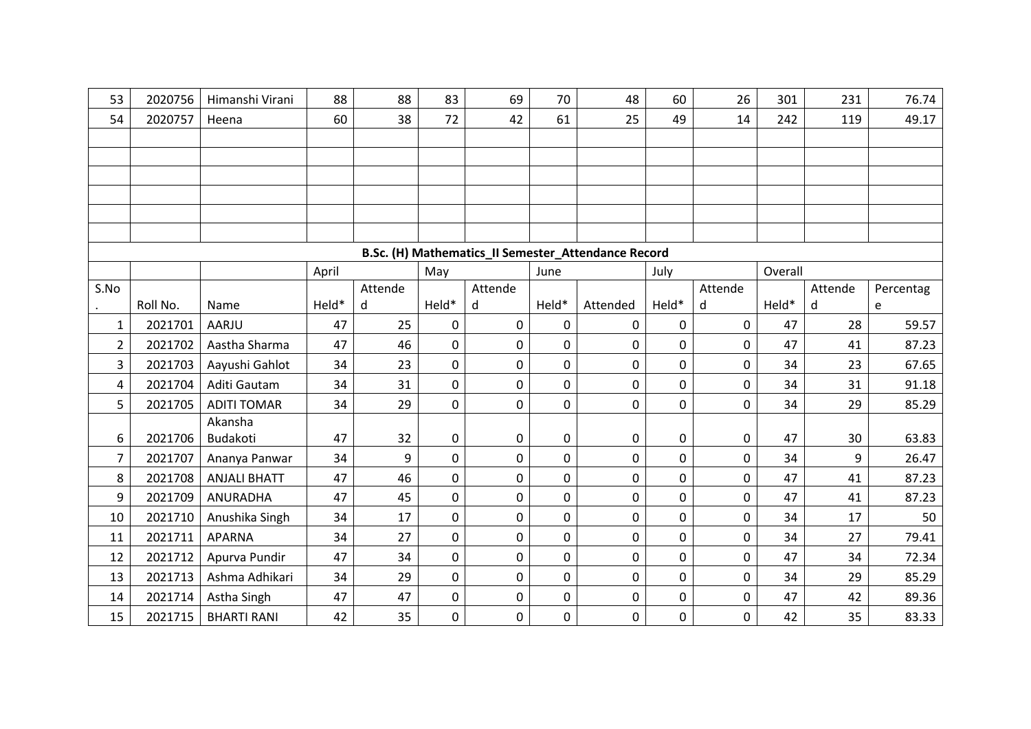| 53             | 2020756  | Himanshi Virani     | 88    | 88      | 83          | 69      | 70          | 48                                                  | 60          | 26          | 301     | 231     | 76.74     |
|----------------|----------|---------------------|-------|---------|-------------|---------|-------------|-----------------------------------------------------|-------------|-------------|---------|---------|-----------|
| 54             | 2020757  | Heena               | 60    | 38      | 72          | 42      | 61          | 25                                                  | 49          | 14          | 242     | 119     | 49.17     |
|                |          |                     |       |         |             |         |             |                                                     |             |             |         |         |           |
|                |          |                     |       |         |             |         |             |                                                     |             |             |         |         |           |
|                |          |                     |       |         |             |         |             |                                                     |             |             |         |         |           |
|                |          |                     |       |         |             |         |             |                                                     |             |             |         |         |           |
|                |          |                     |       |         |             |         |             |                                                     |             |             |         |         |           |
|                |          |                     |       |         |             |         |             |                                                     |             |             |         |         |           |
|                |          |                     |       |         |             |         |             | B.Sc. (H) Mathematics_II Semester_Attendance Record |             |             |         |         |           |
|                |          |                     | April |         | May         |         | June        |                                                     | July        |             | Overall |         |           |
| S.No           |          |                     |       | Attende |             | Attende |             |                                                     |             | Attende     |         | Attende | Percentag |
|                | Roll No. | Name                | Held* | d       | Held*       | d       | Held*       | Attended                                            | Held*       | d           | Held*   | d       | e         |
| 1              | 2021701  | AARJU               | 47    | 25      | 0           | 0       | 0           | 0                                                   | 0           | 0           | 47      | 28      | 59.57     |
| $\overline{2}$ | 2021702  | Aastha Sharma       | 47    | 46      | $\mathbf 0$ | 0       | $\mathbf 0$ | $\mathbf 0$                                         | 0           | $\mathbf 0$ | 47      | 41      | 87.23     |
| 3              | 2021703  | Aayushi Gahlot      | 34    | 23      | 0           | 0       | $\mathbf 0$ | $\mathbf 0$                                         | $\mathbf 0$ | 0           | 34      | 23      | 67.65     |
| 4              | 2021704  | Aditi Gautam        | 34    | 31      | 0           | 0       | $\mathbf 0$ | 0                                                   | 0           | 0           | 34      | 31      | 91.18     |
| 5              | 2021705  | <b>ADITI TOMAR</b>  | 34    | 29      | 0           | 0       | $\mathbf 0$ | $\mathbf 0$                                         | $\mathbf 0$ | 0           | 34      | 29      | 85.29     |
|                |          | Akansha             |       |         |             |         |             |                                                     |             |             |         |         |           |
| 6              | 2021706  | Budakoti            | 47    | 32      | $\pmb{0}$   | 0       | $\mathbf 0$ | $\pmb{0}$                                           | $\pmb{0}$   | 0           | 47      | 30      | 63.83     |
| $\overline{7}$ | 2021707  | Ananya Panwar       | 34    | 9       | 0           | 0       | $\mathbf 0$ | $\mathbf 0$                                         | $\mathbf 0$ | 0           | 34      | 9       | 26.47     |
| 8              | 2021708  | <b>ANJALI BHATT</b> | 47    | 46      | $\mathbf 0$ | 0       | 0           | 0                                                   | 0           | 0           | 47      | 41      | 87.23     |
| 9              | 2021709  | <b>ANURADHA</b>     | 47    | 45      | $\pmb{0}$   | 0       | $\mathbf 0$ | $\mathbf 0$                                         | $\mathbf 0$ | 0           | 47      | 41      | 87.23     |
| 10             | 2021710  | Anushika Singh      | 34    | 17      | $\mathbf 0$ | 0       | $\mathbf 0$ | $\mathbf 0$                                         | $\mathbf 0$ | $\mathbf 0$ | 34      | 17      | 50        |
| 11             | 2021711  | <b>APARNA</b>       | 34    | 27      | 0           | 0       | $\mathbf 0$ | $\mathbf 0$                                         | $\mathbf 0$ | 0           | 34      | 27      | 79.41     |
| 12             | 2021712  | Apurva Pundir       | 47    | 34      | 0           | 0       | $\mathbf 0$ | 0                                                   | $\mathbf 0$ | 0           | 47      | 34      | 72.34     |
| 13             | 2021713  | Ashma Adhikari      | 34    | 29      | 0           | 0       | $\pmb{0}$   | $\pmb{0}$                                           | $\pmb{0}$   | 0           | 34      | 29      | 85.29     |
| 14             | 2021714  | Astha Singh         | 47    | 47      | 0           | 0       | $\pmb{0}$   | 0                                                   | $\pmb{0}$   | 0           | 47      | 42      | 89.36     |
| 15             | 2021715  | <b>BHARTI RANI</b>  | 42    | 35      | $\mathbf 0$ | 0       | $\mathbf 0$ | $\mathbf 0$                                         | 0           | 0           | 42      | 35      | 83.33     |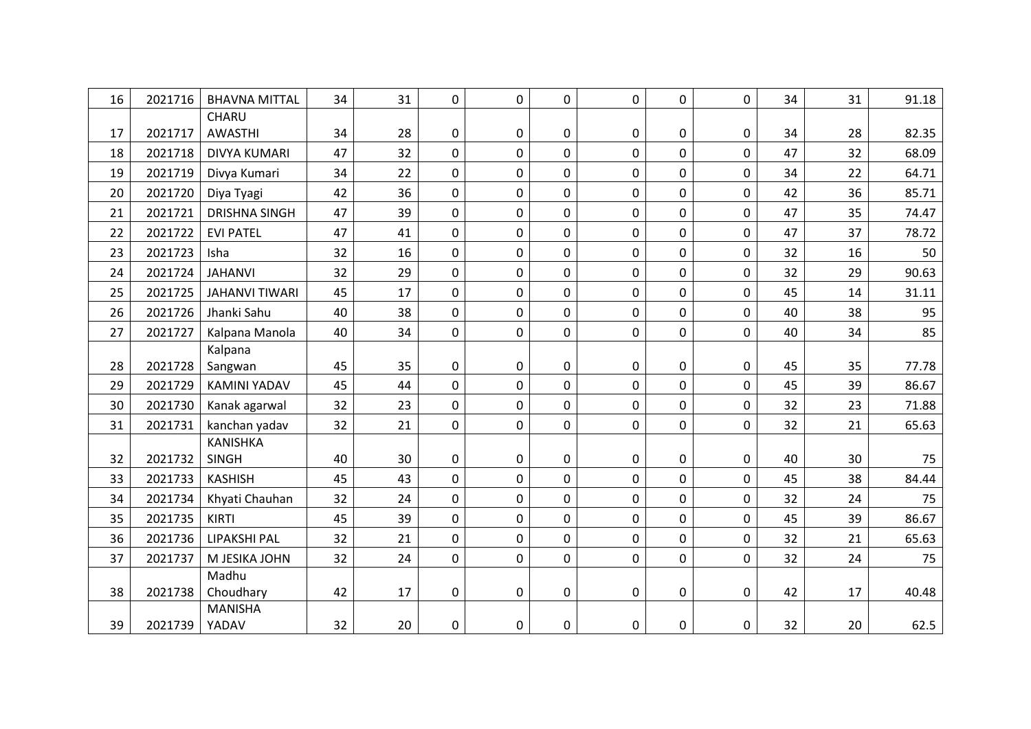| 16 | 2021716 | <b>BHAVNA MITTAL</b>  | 34 | 31 | 0            | $\mathbf 0$    | 0           | 0           | 0            | 0        | 34 | 31 | 91.18 |
|----|---------|-----------------------|----|----|--------------|----------------|-------------|-------------|--------------|----------|----|----|-------|
|    |         | CHARU                 |    |    |              |                |             |             |              |          |    |    |       |
| 17 | 2021717 | <b>AWASTHI</b>        | 34 | 28 | 0            | $\pmb{0}$      | $\mathbf 0$ | 0           | 0            | 0        | 34 | 28 | 82.35 |
| 18 | 2021718 | <b>DIVYA KUMARI</b>   | 47 | 32 | $\mathbf 0$  | $\mathbf 0$    | 0           | 0           | $\mathbf 0$  | $\Omega$ | 47 | 32 | 68.09 |
| 19 | 2021719 | Divya Kumari          | 34 | 22 | 0            | $\overline{0}$ | $\mathbf 0$ | $\mathbf 0$ | $\mathbf 0$  | 0        | 34 | 22 | 64.71 |
| 20 | 2021720 | Diya Tyagi            | 42 | 36 | 0            | $\pmb{0}$      | 0           | 0           | $\mathbf 0$  | 0        | 42 | 36 | 85.71 |
| 21 | 2021721 | <b>DRISHNA SINGH</b>  | 47 | 39 | 0            | $\mathbf 0$    | $\mathbf 0$ | 0           | $\mathbf 0$  | 0        | 47 | 35 | 74.47 |
| 22 | 2021722 | <b>EVI PATEL</b>      | 47 | 41 | $\pmb{0}$    | $\overline{0}$ | 0           | 0           | $\mathbf 0$  | 0        | 47 | 37 | 78.72 |
| 23 | 2021723 | Isha                  | 32 | 16 | 0            | $\mathbf 0$    | 0           | $\mathbf 0$ | $\mathbf 0$  | 0        | 32 | 16 | 50    |
| 24 | 2021724 | <b>JAHANVI</b>        | 32 | 29 | 0            | $\mathbf 0$    | 0           | 0           | $\mathbf 0$  | 0        | 32 | 29 | 90.63 |
| 25 | 2021725 | <b>JAHANVI TIWARI</b> | 45 | 17 | 0            | $\mathbf 0$    | 0           | $\mathbf 0$ | $\mathbf 0$  | 0        | 45 | 14 | 31.11 |
| 26 | 2021726 | Jhanki Sahu           | 40 | 38 | 0            | $\mathbf 0$    | 0           | $\mathbf 0$ | $\mathbf 0$  | 0        | 40 | 38 | 95    |
| 27 | 2021727 | Kalpana Manola        | 40 | 34 | 0            | $\mathbf 0$    | 0           | 0           | 0            | 0        | 40 | 34 | 85    |
|    |         | Kalpana               |    |    |              |                |             |             |              |          |    |    |       |
| 28 | 2021728 | Sangwan               | 45 | 35 | 0            | $\pmb{0}$      | $\pmb{0}$   | $\pmb{0}$   | $\pmb{0}$    | 0        | 45 | 35 | 77.78 |
| 29 | 2021729 | <b>KAMINI YADAV</b>   | 45 | 44 | 0            | $\mathbf 0$    | 0           | 0           | $\mathbf 0$  | 0        | 45 | 39 | 86.67 |
| 30 | 2021730 | Kanak agarwal         | 32 | 23 | 0            | $\mathbf 0$    | 0           | $\mathbf 0$ | $\mathbf 0$  | 0        | 32 | 23 | 71.88 |
| 31 | 2021731 | kanchan yadav         | 32 | 21 | 0            | $\mathbf 0$    | 0           | 0           | $\mathbf 0$  | 0        | 32 | 21 | 65.63 |
|    |         | <b>KANISHKA</b>       |    |    |              |                |             |             |              |          |    |    |       |
| 32 | 2021732 | <b>SINGH</b>          | 40 | 30 | 0            | $\mathbf 0$    | $\mathbf 0$ | $\mathbf 0$ | $\pmb{0}$    | 0        | 40 | 30 | 75    |
| 33 | 2021733 | <b>KASHISH</b>        | 45 | 43 | $\mathsf{O}$ | $\mathbf 0$    | 0           | 0           | $\mathbf 0$  | 0        | 45 | 38 | 84.44 |
| 34 | 2021734 | Khyati Chauhan        | 32 | 24 | 0            | $\mathbf 0$    | 0           | 0           | $\mathbf 0$  | 0        | 32 | 24 | 75    |
| 35 | 2021735 | <b>KIRTI</b>          | 45 | 39 | 0            | $\mathbf 0$    | 0           | 0           | $\mathsf{O}$ | 0        | 45 | 39 | 86.67 |
| 36 | 2021736 | LIPAKSHI PAL          | 32 | 21 | $\mathbf 0$  | $\mathbf 0$    | $\mathbf 0$ | $\mathbf 0$ | $\mathbf 0$  | 0        | 32 | 21 | 65.63 |
| 37 | 2021737 | M JESIKA JOHN         | 32 | 24 | 0            | $\mathbf 0$    | 0           | 0           | $\mathbf 0$  | 0        | 32 | 24 | 75    |
|    |         | Madhu                 |    |    |              |                |             |             |              |          |    |    |       |
| 38 | 2021738 | Choudhary             | 42 | 17 | 0            | $\pmb{0}$      | $\pmb{0}$   | $\pmb{0}$   | 0            | 0        | 42 | 17 | 40.48 |
|    |         | <b>MANISHA</b>        |    |    |              |                |             |             |              |          |    |    |       |
| 39 | 2021739 | YADAV                 | 32 | 20 | 0            | 0              | 0           | 0           | 0            | 0        | 32 | 20 | 62.5  |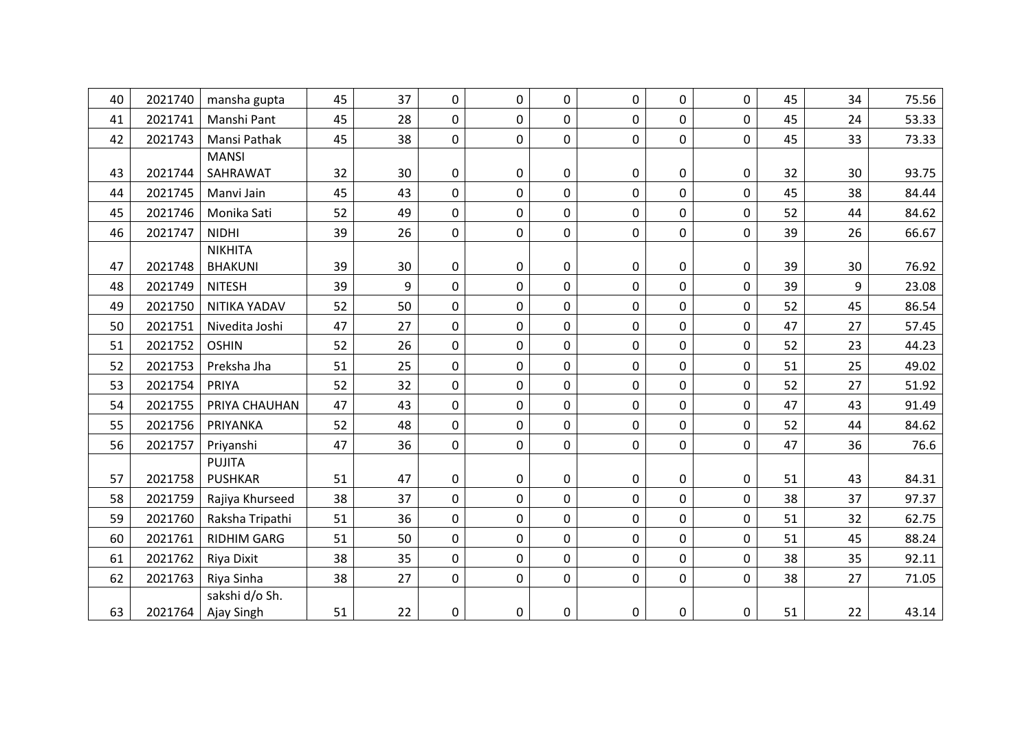| 40 | 2021740 | mansha gupta       | 45 | 37 | 0              | $\mathbf 0$ | 0           | 0         | $\mathbf 0$ | $\overline{0}$ | 45 | 34 | 75.56 |
|----|---------|--------------------|----|----|----------------|-------------|-------------|-----------|-------------|----------------|----|----|-------|
| 41 | 2021741 | Manshi Pant        | 45 | 28 | 0              | $\mathbf 0$ | 0           | 0         | $\mathbf 0$ | 0              | 45 | 24 | 53.33 |
| 42 | 2021743 | Mansi Pathak       | 45 | 38 | 0              | $\mathbf 0$ | 0           | 0         | 0           | 0              | 45 | 33 | 73.33 |
|    |         | <b>MANSI</b>       |    |    |                |             |             |           |             |                |    |    |       |
| 43 | 2021744 | SAHRAWAT           | 32 | 30 | 0              | $\mathbf 0$ | 0           | 0         | $\pmb{0}$   | 0              | 32 | 30 | 93.75 |
| 44 | 2021745 | Manvi Jain         | 45 | 43 | 0              | $\mathbf 0$ | 0           | 0         | $\mathbf 0$ | $\Omega$       | 45 | 38 | 84.44 |
| 45 | 2021746 | Monika Sati        | 52 | 49 | 0              | 0           | 0           | 0         | $\mathbf 0$ | 0              | 52 | 44 | 84.62 |
| 46 | 2021747 | <b>NIDHI</b>       | 39 | 26 | 0              | $\mathbf 0$ | 0           | 0         | $\mathbf 0$ | 0              | 39 | 26 | 66.67 |
|    |         | <b>NIKHITA</b>     |    |    |                |             |             |           |             |                |    |    |       |
| 47 | 2021748 | <b>BHAKUNI</b>     | 39 | 30 | 0              | 0           | 0           | $\pmb{0}$ | $\pmb{0}$   | 0              | 39 | 30 | 76.92 |
| 48 | 2021749 | <b>NITESH</b>      | 39 | 9  | $\overline{0}$ | $\mathbf 0$ | 0           | 0         | $\mathbf 0$ | $\Omega$       | 39 | 9  | 23.08 |
| 49 | 2021750 | NITIKA YADAV       | 52 | 50 | 0              | $\mathbf 0$ | 0           | 0         | $\mathbf 0$ | 0              | 52 | 45 | 86.54 |
| 50 | 2021751 | Nivedita Joshi     | 47 | 27 | 0              | $\mathbf 0$ | 0           | 0         | $\mathbf 0$ | 0              | 47 | 27 | 57.45 |
| 51 | 2021752 | <b>OSHIN</b>       | 52 | 26 | 0              | $\mathbf 0$ | 0           | 0         | $\mathbf 0$ | 0              | 52 | 23 | 44.23 |
| 52 | 2021753 | Preksha Jha        | 51 | 25 | 0              | $\mathbf 0$ | 0           | 0         | 0           | 0              | 51 | 25 | 49.02 |
| 53 | 2021754 | PRIYA              | 52 | 32 | 0              | $\mathbf 0$ | $\mathbf 0$ | 0         | $\mathbf 0$ | 0              | 52 | 27 | 51.92 |
| 54 | 2021755 | PRIYA CHAUHAN      | 47 | 43 | $\overline{0}$ | $\mathbf 0$ | $\mathbf 0$ | 0         | $\mathbf 0$ | 0              | 47 | 43 | 91.49 |
| 55 | 2021756 | PRIYANKA           | 52 | 48 | 0              | 0           | 0           | 0         | $\mathbf 0$ | 0              | 52 | 44 | 84.62 |
| 56 | 2021757 | Priyanshi          | 47 | 36 | 0              | $\mathbf 0$ | 0           | 0         | $\mathbf 0$ | 0              | 47 | 36 | 76.6  |
|    |         | <b>PUJITA</b>      |    |    |                |             |             |           |             |                |    |    |       |
| 57 | 2021758 | <b>PUSHKAR</b>     | 51 | 47 | 0              | 0           | 0           | 0         | $\pmb{0}$   | 0              | 51 | 43 | 84.31 |
| 58 | 2021759 | Rajiya Khurseed    | 38 | 37 | 0              | $\mathbf 0$ | 0           | 0         | $\mathbf 0$ | $\Omega$       | 38 | 37 | 97.37 |
| 59 | 2021760 | Raksha Tripathi    | 51 | 36 | 0              | $\mathbf 0$ | 0           | 0         | $\mathbf 0$ | 0              | 51 | 32 | 62.75 |
| 60 | 2021761 | <b>RIDHIM GARG</b> | 51 | 50 | 0              | $\mathbf 0$ | 0           | 0         | 0           | 0              | 51 | 45 | 88.24 |
| 61 | 2021762 | Riya Dixit         | 38 | 35 | 0              | $\mathbf 0$ | 0           | 0         | $\mathbf 0$ | 0              | 38 | 35 | 92.11 |
| 62 | 2021763 | Riya Sinha         | 38 | 27 | 0              | $\mathbf 0$ | 0           | 0         | $\mathbf 0$ | 0              | 38 | 27 | 71.05 |
|    |         | sakshi d/o Sh.     |    |    |                |             |             |           |             |                |    |    |       |
| 63 | 2021764 | Ajay Singh         | 51 | 22 | 0              | 0           | 0           | 0         | $\mathbf 0$ | 0              | 51 | 22 | 43.14 |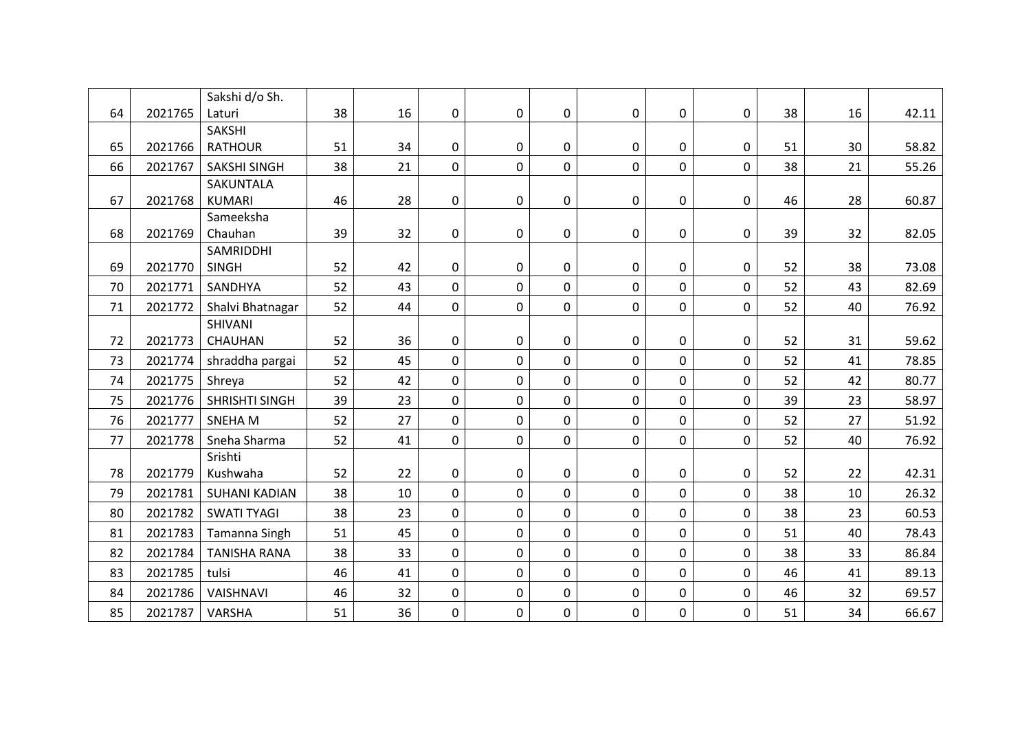|    |         | Sakshi d/o Sh.              |    |    |              |             |             |             |              |             |    |    |       |
|----|---------|-----------------------------|----|----|--------------|-------------|-------------|-------------|--------------|-------------|----|----|-------|
| 64 | 2021765 | Laturi                      | 38 | 16 | 0            | $\mathbf 0$ | 0           | $\mathbf 0$ | $\mathbf 0$  | 0           | 38 | 16 | 42.11 |
|    |         | <b>SAKSHI</b>               |    |    |              |             |             |             |              |             |    |    |       |
| 65 | 2021766 | <b>RATHOUR</b>              | 51 | 34 | 0            | $\mathbf 0$ | $\mathbf 0$ | 0           | 0            | 0           | 51 | 30 | 58.82 |
| 66 | 2021767 | <b>SAKSHI SINGH</b>         | 38 | 21 | 0            | $\mathbf 0$ | 0           | 0           | 0            | 0           | 38 | 21 | 55.26 |
|    |         | SAKUNTALA                   |    |    |              |             |             |             |              |             |    |    |       |
| 67 | 2021768 | <b>KUMARI</b>               | 46 | 28 | 0            | $\pmb{0}$   | $\mathbf 0$ | $\pmb{0}$   | $\pmb{0}$    | 0           | 46 | 28 | 60.87 |
| 68 | 2021769 | Sameeksha<br>Chauhan        | 39 | 32 | 0            | $\mathbf 0$ | $\mathbf 0$ | $\pmb{0}$   | $\pmb{0}$    | 0           | 39 | 32 | 82.05 |
|    |         | SAMRIDDHI                   |    |    |              |             |             |             |              |             |    |    |       |
| 69 | 2021770 | <b>SINGH</b>                | 52 | 42 | 0            | $\mathbf 0$ | 0           | 0           | 0            | 0           | 52 | 38 | 73.08 |
| 70 | 2021771 | SANDHYA                     | 52 | 43 | 0            | $\mathbf 0$ | $\mathbf 0$ | $\mathbf 0$ | $\mathbf 0$  | 0           | 52 | 43 | 82.69 |
|    |         |                             |    |    |              |             |             |             |              |             |    |    |       |
| 71 | 2021772 | Shalvi Bhatnagar<br>SHIVANI | 52 | 44 | $\pmb{0}$    | $\mathbf 0$ | $\mathbf 0$ | $\mathbf 0$ | $\mathbf 0$  | 0           | 52 | 40 | 76.92 |
| 72 | 2021773 | CHAUHAN                     | 52 | 36 | 0            | $\pmb{0}$   | $\pmb{0}$   | $\pmb{0}$   | $\pmb{0}$    | 0           | 52 | 31 | 59.62 |
|    |         |                             |    |    |              | $\mathbf 0$ |             |             |              |             | 52 |    |       |
| 73 | 2021774 | shraddha pargai             | 52 | 45 | 0            |             | 0           | 0           | $\mathbf 0$  | 0           |    | 41 | 78.85 |
| 74 | 2021775 | Shreya                      | 52 | 42 | 0            | $\mathbf 0$ | 0           | 0           | 0            | 0           | 52 | 42 | 80.77 |
| 75 | 2021776 | <b>SHRISHTI SINGH</b>       | 39 | 23 | $\mathsf{O}$ | $\mathbf 0$ | $\mathbf 0$ | $\mathbf 0$ | $\mathsf{O}$ | 0           | 39 | 23 | 58.97 |
| 76 | 2021777 | SNEHA M                     | 52 | 27 | 0            | $\mathbf 0$ | $\mathbf 0$ | $\mathbf 0$ | $\mathbf 0$  | 0           | 52 | 27 | 51.92 |
| 77 | 2021778 | Sneha Sharma                | 52 | 41 | 0            | $\mathbf 0$ | 0           | $\mathbf 0$ | $\mathbf 0$  | 0           | 52 | 40 | 76.92 |
|    |         | Srishti                     |    |    |              |             |             |             |              |             |    |    |       |
| 78 | 2021779 | Kushwaha                    | 52 | 22 | 0            | $\pmb{0}$   | $\mathbf 0$ | $\mathbf 0$ | $\pmb{0}$    | 0           | 52 | 22 | 42.31 |
| 79 | 2021781 | <b>SUHANI KADIAN</b>        | 38 | 10 | 0            | $\mathbf 0$ | $\mathbf 0$ | $\mathbf 0$ | 0            | 0           | 38 | 10 | 26.32 |
| 80 | 2021782 | <b>SWATI TYAGI</b>          | 38 | 23 | $\pmb{0}$    | $\mathbf 0$ | 0           | $\mathbf 0$ | $\pmb{0}$    | 0           | 38 | 23 | 60.53 |
| 81 | 2021783 | Tamanna Singh               | 51 | 45 | 0            | $\mathbf 0$ | $\mathbf 0$ | $\mathbf 0$ | $\mathbf 0$  | $\mathbf 0$ | 51 | 40 | 78.43 |
| 82 | 2021784 | <b>TANISHA RANA</b>         | 38 | 33 | 0            | $\mathbf 0$ | 0           | 0           | $\pmb{0}$    | 0           | 38 | 33 | 86.84 |
| 83 | 2021785 | tulsi                       | 46 | 41 | 0            | $\mathbf 0$ | $\mathbf 0$ | $\mathbf 0$ | $\mathbf 0$  | 0           | 46 | 41 | 89.13 |
| 84 | 2021786 | VAISHNAVI                   | 46 | 32 | 0            | $\mathbf 0$ | 0           | 0           | 0            | 0           | 46 | 32 | 69.57 |
| 85 | 2021787 | VARSHA                      | 51 | 36 | 0            | $\mathbf 0$ | $\mathbf 0$ | $\mathbf 0$ | $\mathbf 0$  | 0           | 51 | 34 | 66.67 |